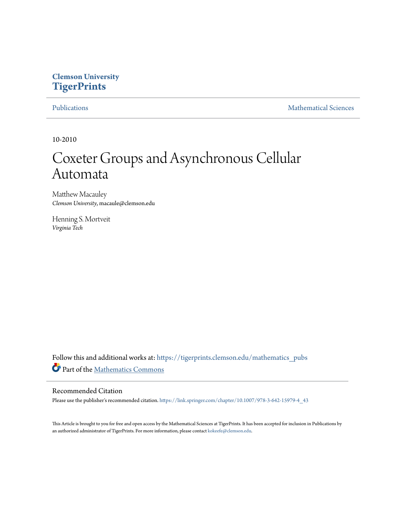# **Clemson University [TigerPrints](https://tigerprints.clemson.edu?utm_source=tigerprints.clemson.edu%2Fmathematics_pubs%2F12&utm_medium=PDF&utm_campaign=PDFCoverPages)**

[Publications](https://tigerprints.clemson.edu/mathematics_pubs?utm_source=tigerprints.clemson.edu%2Fmathematics_pubs%2F12&utm_medium=PDF&utm_campaign=PDFCoverPages) [Mathematical Sciences](https://tigerprints.clemson.edu/mathematics?utm_source=tigerprints.clemson.edu%2Fmathematics_pubs%2F12&utm_medium=PDF&utm_campaign=PDFCoverPages)

10-2010

# Coxeter Groups and Asynchronous Cellular Automata

Matthew Macauley *Clemson University*, macaule@clemson.edu

Henning S. Mortveit *Virginia Tech*

Follow this and additional works at: [https://tigerprints.clemson.edu/mathematics\\_pubs](https://tigerprints.clemson.edu/mathematics_pubs?utm_source=tigerprints.clemson.edu%2Fmathematics_pubs%2F12&utm_medium=PDF&utm_campaign=PDFCoverPages) Part of the [Mathematics Commons](http://network.bepress.com/hgg/discipline/174?utm_source=tigerprints.clemson.edu%2Fmathematics_pubs%2F12&utm_medium=PDF&utm_campaign=PDFCoverPages)

### Recommended Citation

Please use the publisher's recommended citation. [https://link.springer.com/chapter/10.1007/978-3-642-15979-4\\_43](https://link.springer.com/chapter/10.1007/978-3-642-15979-4_43)

This Article is brought to you for free and open access by the Mathematical Sciences at TigerPrints. It has been accepted for inclusion in Publications by an authorized administrator of TigerPrints. For more information, please contact [kokeefe@clemson.edu.](mailto:kokeefe@clemson.edu)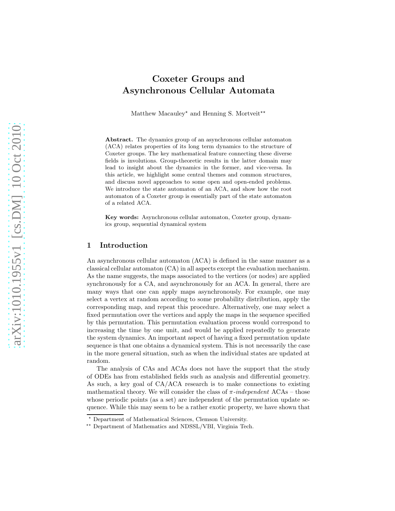# Coxeter Groups and Asynchronous Cellular Automata

Matthew Macauley<sup>\*</sup> and Henning S. Mortveit<sup>\*\*</sup>

Abstract. The dynamics group of an asynchronous cellular automaton (ACA) relates properties of its long term dynamics to the structure of Coxeter groups. The key mathematical feature connecting these diverse fields is involutions. Group-theoretic results in the latter domain may lead to insight about the dynamics in the former, and vice-versa. In this article, we highlight some central themes and common structures, and discuss novel approaches to some open and open-ended problems. We introduce the state automaton of an ACA, and show how the root automaton of a Coxeter group is essentially part of the state automaton of a related ACA.

Key words: Asynchronous cellular automaton, Coxeter group, dynamics group, sequential dynamical system

#### 1 Introduction

An asynchronous cellular automaton (ACA) is defined in the same manner as a classical cellular automaton (CA) in all aspects except the evaluation mechanism. As the name suggests, the maps associated to the vertices (or nodes) are applied synchronously for a CA, and asynchronously for an ACA. In general, there are many ways that one can apply maps asynchronously. For example, one may select a vertex at random according to some probability distribution, apply the corresponding map, and repeat this procedure. Alternatively, one may select a fixed permutation over the vertices and apply the maps in the sequence specified by this permutation. This permutation evaluation process would correspond to increasing the time by one unit, and would be applied repeatedly to generate the system dynamics. An important aspect of having a fixed permutation update sequence is that one obtains a dynamical system. This is not necessarily the case in the more general situation, such as when the individual states are updated at random.

The analysis of CAs and ACAs does not have the support that the study of ODEs has from established fields such as analysis and differential geometry. As such, a key goal of CA/ACA research is to make connections to existing mathematical theory. We will consider the class of  $\pi$ -independent ACAs – those whose periodic points (as a set) are independent of the permutation update sequence. While this may seem to be a rather exotic property, we have shown that

<sup>⋆</sup> Department of Mathematical Sciences, Clemson University.

<sup>\*\*</sup> Department of Mathematics and NDSSL/VBI, Virginia Tech.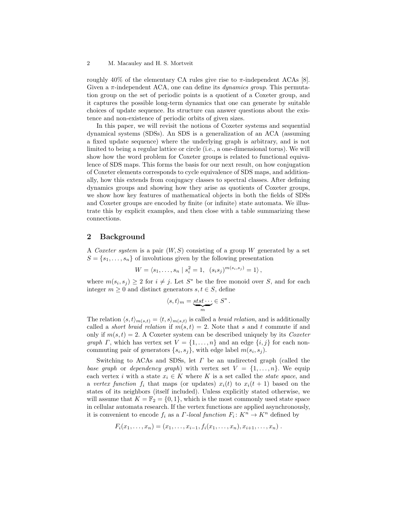roughly 40% of the elementary CA rules give rise to  $\pi$ -independent ACAs [8]. Given a  $\pi$ -independent ACA, one can define its *dynamics group*. This permutation group on the set of periodic points is a quotient of a Coxeter group, and it captures the possible long-term dynamics that one can generate by suitable choices of update sequence. Its structure can answer questions about the existence and non-existence of periodic orbits of given sizes.

In this paper, we will revisit the notions of Coxeter systems and sequential dynamical systems (SDSs). An SDS is a generalization of an ACA (assuming a fixed update sequence) where the underlying graph is arbitrary, and is not limited to being a regular lattice or circle (i.e., a one-dimensional torus). We will show how the word problem for Coxeter groups is related to functional equivalence of SDS maps. This forms the basis for our next result, on how conjugation of Coxeter elements corresponds to cycle equivalence of SDS maps, and additionally, how this extends from conjugacy classes to spectral classes. After defining dynamics groups and showing how they arise as quotients of Coxeter groups, we show how key features of mathematical objects in both the fields of SDSs and Coxeter groups are encoded by finite (or infinite) state automata. We illustrate this by explicit examples, and then close with a table summarizing these connections.

#### 2 Background

A Coxeter system is a pair  $(W, S)$  consisting of a group W generated by a set  $S = \{s_1, \ldots, s_n\}$  of involutions given by the following presentation

$$
W = \langle s_1, \ldots, s_n | s_i^2 = 1, (s_i s_j)^{m(s_i, s_j)} = 1 \rangle,
$$

where  $m(s_i, s_j) \geq 2$  for  $i \neq j$ . Let  $S^*$  be the free monoid over S, and for each integer  $m \geq 0$  and distinct generators  $s, t \in S$ , define

$$
\langle s,t\rangle_m = \underbrace{stst\cdots}_{m} \in S^*.
$$

The relation  $\langle s, t \rangle_{m(s,t)} = \langle t, s \rangle_{m(s,t)}$  is called a *braid relation*, and is additionally called a *short braid relation* if  $m(s,t) = 2$ . Note that s and t commute if and only if  $m(s, t) = 2$ . A Coxeter system can be described uniquely by its Coxeter *graph* Γ, which has vertex set  $V = \{1, \ldots, n\}$  and an edge  $\{i, j\}$  for each noncommuting pair of generators  $\{s_i, s_j\}$ , with edge label  $m(s_i, s_j)$ .

Switching to ACAs and SDSs, let  $\Gamma$  be an undirected graph (called the base graph or dependency graph) with vertex set  $V = \{1, \ldots, n\}$ . We equip each vertex i with a state  $x_i \in K$  where K is a set called the *state space*, and a vertex function  $f_i$  that maps (or updates)  $x_i(t)$  to  $x_i(t + 1)$  based on the states of its neighbors (itself included). Unless explicitly stated otherwise, we will assume that  $K = \mathbb{F}_2 = \{0, 1\}$ , which is the most commonly used state space in cellular automata research. If the vertex functions are applied asynchronously, it is convenient to encode  $f_i$  as a  $\Gamma$ -local function  $F_i: K^n \to K^n$  defined by

$$
F_i(x_1,\ldots,x_n)=(x_1,\ldots,x_{i-1},f_i(x_1,\ldots,x_n),x_{i+1},\ldots,x_n).
$$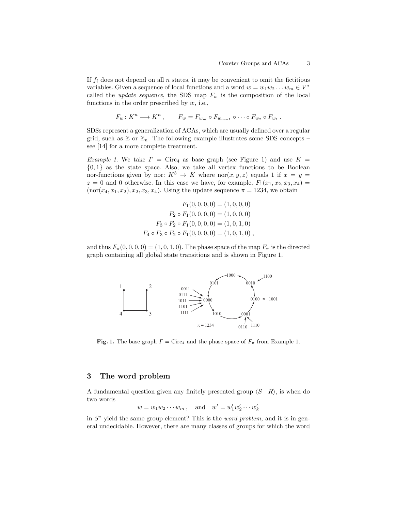If  $f_i$  does not depend on all n states, it may be convenient to omit the fictitious variables. Given a sequence of local functions and a word  $w = w_1w_2 \ldots w_m \in V^*$ called the *update sequence*, the SDS map  $F_w$  is the composition of the local functions in the order prescribed by  $w$ , i.e.,

$$
F_w: K^n \longrightarrow K^n, \qquad F_w = F_{w_m} \circ F_{w_{m-1}} \circ \cdots \circ F_{w_2} \circ F_{w_1}.
$$

SDSs represent a generalization of ACAs, which are usually defined over a regular grid, such as  $\mathbb{Z}$  or  $\mathbb{Z}_n$ . The following example illustrates some SDS concepts – see [14] for a more complete treatment.

Example 1. We take  $\Gamma = \text{Circ}_4$  as base graph (see Figure 1) and use  $K =$  ${0, 1}$  as the state space. Also, we take all vertex functions to be Boolean nor-functions given by nor:  $K^3 \rightarrow K$  where nor $(x, y, z)$  equals 1 if  $x = y =$  $z = 0$  and 0 otherwise. In this case we have, for example,  $F_1(x_1, x_2, x_3, x_4) =$  $(nor(x_4, x_1, x_2), x_2, x_3, x_4)$ . Using the update sequence  $\pi = 1234$ , we obtain

$$
F_1(0,0,0,0) = (1,0,0,0)
$$

$$
F_2 \circ F_1(0,0,0,0) = (1,0,0,0)
$$

$$
F_3 \circ F_2 \circ F_1(0,0,0,0) = (1,0,1,0)
$$

$$
F_4 \circ F_3 \circ F_2 \circ F_1(0,0,0,0) = (1,0,1,0),
$$

and thus  $F_{\pi}(0, 0, 0, 0) = (1, 0, 1, 0)$ . The phase space of the map  $F_{\pi}$  is the directed graph containing all global state transitions and is shown in Figure 1.



**Fig. 1.** The base graph  $\Gamma = \text{Circ}_4$  and the phase space of  $F_\pi$  from Example 1.

#### 3 The word problem

A fundamental question given any finitely presented group  $\langle S | R \rangle$ , is when do two words

$$
w = w_1 w_2 \cdots w_m
$$
, and  $w' = w'_1 w'_2 \cdots w'_k$ 

in  $S^*$  yield the same group element? This is the *word problem*, and it is in general undecidable. However, there are many classes of groups for which the word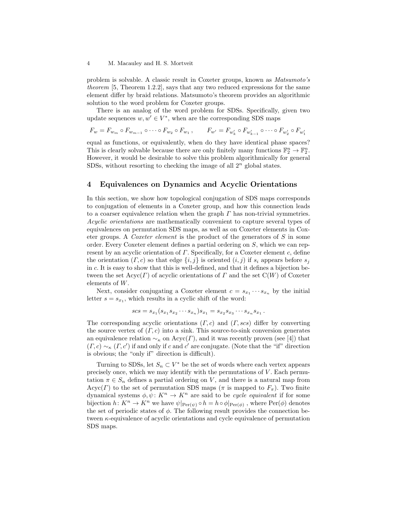#### 4 M. Macauley and H. S. Mortveit

problem is solvable. A classic result in Coxeter groups, known as Matsumoto's theorem [5, Theorem 1.2.2], says that any two reduced expressions for the same element differ by braid relations. Matsumoto's theorem provides an algorithmic solution to the word problem for Coxeter groups.

There is an analog of the word problem for SDSs. Specifically, given two update sequences  $w, w' \in V^*$ , when are the corresponding SDS maps

$$
F_w = F_{w_m} \circ F_{w_{m-1}} \circ \cdots \circ F_{w_2} \circ F_{w_1}, \qquad F_{w'} = F_{w'_k} \circ F_{w'_{k-1}} \circ \cdots \circ F_{w'_2} \circ F_{w'_1}
$$

equal as functions, or equivalently, when do they have identical phase spaces? This is clearly solvable because there are only finitely many functions  $\mathbb{F}_2^n \to \mathbb{F}_2^n$ . However, it would be desirable to solve this problem algorithmically for general SDSs, without resorting to checking the image of all  $2<sup>n</sup>$  global states.

#### 4 Equivalences on Dynamics and Acyclic Orientations

In this section, we show how topological conjugation of SDS maps corresponds to conjugation of elements in a Coxeter group, and how this connection leads to a coarser equivalence relation when the graph  $\Gamma$  has non-trivial symmetries. Acyclic orientations are mathematically convenient to capture several types of equivalences on permutation SDS maps, as well as on Coxeter elements in Coxeter groups. A Coxeter element is the product of the generators of  $S$  in some order. Every Coxeter element defines a partial ordering on S, which we can represent by an acyclic orientation of  $\Gamma$ . Specifically, for a Coxeter element c, define the orientation  $(\Gamma, c)$  so that edge  $\{i, j\}$  is oriented  $(i, j)$  if  $s_i$  appears before  $s_i$ in c. It is easy to show that this is well-defined, and that it defines a bijection between the set  $Acyc(\Gamma)$  of acyclic orientations of  $\Gamma$  and the set  $C(W)$  of Coxeter elements of W.

Next, consider conjugating a Coxeter element  $c = s_{x_1} \cdots s_{x_n}$  by the initial letter  $s = s_{x_1}$ , which results in a cyclic shift of the word:

$$
scs = s_{x_1}(s_{x_1}s_{x_2}\cdots s_{x_n})s_{x_1} = s_{x_2}s_{x_3}\cdots s_{x_n}s_{x_1}.
$$

The corresponding acyclic orientations  $(\Gamma, c)$  and  $(\Gamma, scs)$  differ by converting the source vertex of  $(\Gamma, c)$  into a sink. This source-to-sink conversion generates an equivalence relation  $\sim_{\kappa}$  on Acyc(Γ), and it was recently proven (see [4]) that  $(T, c) \sim_{\kappa} (T, c')$  if and only if c and c' are conjugate. (Note that the "if" direction is obvious; the "only if" direction is difficult).

Turning to SDSs, let  $S_n \subset V^*$  be the set of words where each vertex appears precisely once, which we may identify with the permutations of  $V$ . Each permutation  $\pi \in S_n$  defines a partial ordering on V, and there is a natural map from Acyc(Γ) to the set of permutation SDS maps ( $\pi$  is mapped to  $F_{\pi}$ ). Two finite dynamical systems  $\phi, \psi \colon K^n \to K^n$  are said to be *cycle equivalent* if for some bijection  $h: K^n \to K^n$  we have  $\psi|_{\text{Per}(\psi)} \circ h = h \circ \phi|_{\text{Per}(\phi)}$ , where  $\text{Per}(\phi)$  denotes the set of periodic states of  $\phi$ . The following result provides the connection between  $\kappa$ -equivalence of acyclic orientations and cycle equivalence of permutation SDS maps.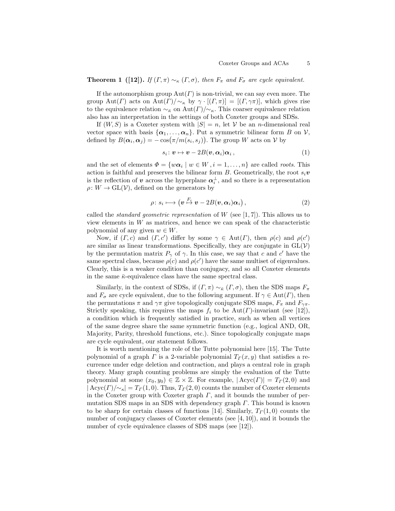#### **Theorem 1** ([12]). If  $(\Gamma, \pi) \sim_{\kappa} (\Gamma, \sigma)$ , then  $F_{\pi}$  and  $F_{\sigma}$  are cycle equivalent.

If the automorphism group  $Aut(\Gamma)$  is non-trivial, we can say even more. The group Aut(Γ) acts on Aut(Γ)/ $\sim_{\kappa}$  by  $\gamma \cdot [(T, \pi)] = [(T, \gamma \pi)]$ , which gives rise to the equivalence relation  $\sim_{\bar{\kappa}}$  on Aut $(\Gamma)/\sim_{\kappa}$ . This coarser equivalence relation also has an interpretation in the settings of both Coxeter groups and SDSs.

If  $(W, S)$  is a Coxeter system with  $|S| = n$ , let V be an *n*-dimensional real vector space with basis  $\{\boldsymbol{\alpha}_1,\ldots,\boldsymbol{\alpha}_n\}$ . Put a symmetric bilinear form B on V, defined by  $B(\alpha_i, \alpha_j) = -\cos(\pi/m(s_i, s_j))$ . The group W acts on V by

$$
s_i: \boldsymbol{v} \mapsto \boldsymbol{v} - 2B(\boldsymbol{v}, \boldsymbol{\alpha}_i) \boldsymbol{\alpha}_i , \qquad (1)
$$

and the set of elements  $\Phi = \{w\alpha_i \mid w \in W, i = 1, ..., n\}$  are called *roots*. This action is faithful and preserves the bilinear form B. Geometrically, the root  $s_i$ **v** is the reflection of  $v$  across the hyperplane  $\alpha_i^{\perp}$ , and so there is a representation  $\rho: W \to GL(V)$ , defined on the generators by

$$
\rho \colon s_i \longmapsto \left( \mathbf{v} \stackrel{F_i}{\mapsto} \mathbf{v} - 2B(\mathbf{v}, \boldsymbol{\alpha}_i) \boldsymbol{\alpha}_i \right), \tag{2}
$$

called the *standard geometric representation* of W (see [1, 7]). This allows us to view elements in  $W$  as matrices, and hence we can speak of the characteristic polynomial of any given  $w \in W$ .

Now, if  $(\Gamma, c)$  and  $(\Gamma, c')$  differ by some  $\gamma \in \text{Aut}(\Gamma)$ , then  $\rho(c)$  and  $\rho(c')$ are similar as linear transformations. Specifically, they are conjugate in  $GL(V)$ by the permutation matrix  $P_{\gamma}$  of  $\gamma$ . In this case, we say that c and c' have the same spectral class, because  $\rho(c)$  and  $\rho(c')$  have the same multiset of eigenvalues. Clearly, this is a weaker condition than conjugacy, and so all Coxeter elements in the same  $\bar{\kappa}$ -equivalence class have the same spectral class.

Similarly, in the context of SDSs, if  $(\Gamma, \pi) \sim_{\bar{\kappa}} (\Gamma, \sigma)$ , then the SDS maps  $F_{\pi}$ and  $F_{\sigma}$  are cycle equivalent, due to the following argument. If  $\gamma \in \text{Aut}(\Gamma)$ , then the permutations  $\pi$  and  $\gamma \pi$  give topologically conjugate SDS maps,  $F_{\pi}$  and  $F_{\gamma \pi}$ . Strictly speaking, this requires the maps  $f_i$  to be  $Aut(\Gamma)$ -invariant (see [12]), a condition which is frequently satisfied in practice, such as when all vertices of the same degree share the same symmetric function (e.g., logical AND, OR, Majority, Parity, threshold functions, etc.). Since topologically conjugate maps are cycle equivalent, our statement follows.

It is worth mentioning the role of the Tutte polynomial here [15]. The Tutte polynomial of a graph  $\Gamma$  is a 2-variable polynomial  $T_{\Gamma}(x, y)$  that satisfies a recurrence under edge deletion and contraction, and plays a central role in graph theory. Many graph counting problems are simply the evaluation of the Tutte polynomial at some  $(x_0, y_0) \in \mathbb{Z} \times \mathbb{Z}$ . For example,  $|\text{Acyc}(T)| = T<sub>\Gamma</sub>(2,0)$  and  $|\text{Acyc}(F)/_{\sim_{\kappa}}| = T_F(1,0)$ . Thus,  $T_F(2,0)$  counts the number of Coxeter elements in the Coxeter group with Coxeter graph  $\Gamma$ , and it bounds the number of permutation SDS maps in an SDS with dependency graph  $\Gamma$ . This bound is known to be sharp for certain classes of functions [14]. Similarly,  $T<sub>\Gamma</sub>(1,0)$  counts the number of conjugacy classes of Coxeter elements (see [4, 10]), and it bounds the number of cycle equivalence classes of SDS maps (see [12]).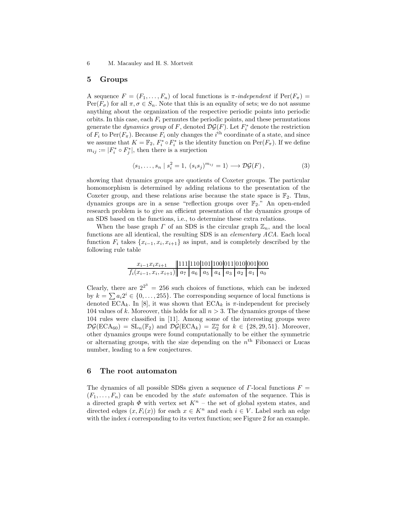#### 5 Groups

A sequence  $F = (F_1, \ldots, F_n)$  of local functions is  $\pi$ -independent if  $\text{Per}(F_\pi)$  $Per(F_{\sigma})$  for all  $\pi, \sigma \in S_n$ . Note that this is an equality of sets; we do not assume anything about the organization of the respective periodic points into periodic orbits. In this case, each  $F_i$  permutes the periodic points, and these permutations generate the *dynamics group* of F, denoted  $\mathcal{DG}(F)$ . Let  $F_i^*$  denote the restriction of  $F_i$  to  $\text{Per}(F_\pi)$ . Because  $F_i$  only changes the i<sup>th</sup> coordinate of a state, and since we assume that  $K = \mathbb{F}_2$ ,  $F_i^* \circ F_i^*$  is the identity function on  $\text{Per}(F_\pi)$ . If we define  $m_{ij} := |F_i^* \circ F_j^*|$ , then there is a surjection

$$
\langle s_1, \dots, s_n | s_i^2 = 1, (s_i s_j)^{m_{ij}} = 1 \rangle \longrightarrow \mathcal{DG}(F), \tag{3}
$$

showing that dynamics groups are quotients of Coxeter groups. The particular homomorphism is determined by adding relations to the presentation of the Coxeter group, and these relations arise because the state space is  $\mathbb{F}_2$ . Thus, dynamics groups are in a sense "reflection groups over  $\mathbb{F}_2$ ." An open-ended research problem is to give an efficient presentation of the dynamics groups of an SDS based on the functions, i.e., to determine these extra relations.

When the base graph  $\Gamma$  of an SDS is the circular graph  $\mathbb{Z}_n$ , and the local functions are all identical, the resulting SDS is an elementary ACA. Each local function  $F_i$  takes  $\{x_{i-1}, x_i, x_{i+1}\}\$ as input, and is completely described by the following rule table

| $x_{i-1}x_ix_{i+1}$                                                                                         |  |  |  | [111 110 101 100 011 010 001 000] |
|-------------------------------------------------------------------------------------------------------------|--|--|--|-----------------------------------|
| $\overline{f_i(x_{i-1},x_i,x_{i+1})}$ $a_7$ $\overline{a_6}$ $\overline{a_5}$ $a_4$ $a_3$ $a_2$ $a_1$ $a_0$ |  |  |  |                                   |

Clearly, there are  $2^{2^3} = 256$  such choices of functions, which can be indexed by  $k = \sum a_i 2^i \in \{0, \ldots, 255\}$ . The corresponding sequence of local functions is denoted ECA<sub>k</sub>. In [8], it was shown that  $ECA_k$  is  $\pi$ -independent for precisely 104 values of k. Moreover, this holds for all  $n > 3$ . The dynamics groups of these 104 rules were classified in [11]. Among some of the interesting groups were  $\mathcal{DG}(\text{ECA}_{60}) = \text{SL}_n(\mathbb{F}_2)$  and  $\mathcal{DG}(\text{ECA}_k) = \mathbb{Z}_2^n$  for  $k \in \{28, 29, 51\}$ . Moreover, other dynamics groups were found computationally to be either the symmetric or alternating groups, with the size depending on the  $n<sup>th</sup>$  Fibonacci or Lucas number, leading to a few conjectures.

#### 6 The root automaton

The dynamics of all possible SDSs given a sequence of  $\Gamma$ -local functions  $F =$  $(F_1, \ldots, F_n)$  can be encoded by the *state automaton* of the sequence. This is a directed graph  $\Phi$  with vertex set  $K<sup>n</sup>$  – the set of global system states, and directed edges  $(x, F_i(x))$  for each  $x \in K^n$  and each  $i \in V$ . Label such an edge with the index  $i$  corresponding to its vertex function; see Figure 2 for an example.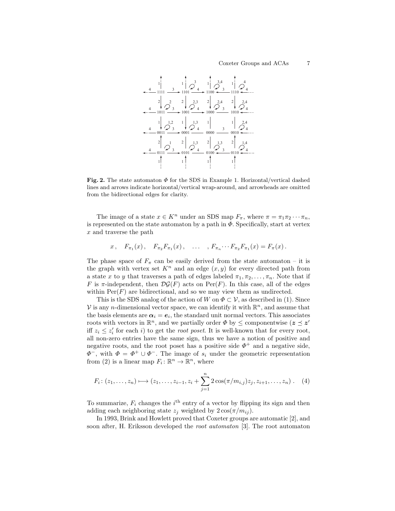#### Coxeter Groups and ACAs 7



Fig. 2. The state automaton  $\Phi$  for the SDS in Example 1. Horizontal/vertical dashed lines and arrows indicate horizontal/vertical wrap-around, and arrowheads are omitted from the bidirectional edges for clarity.

The image of a state  $x \in K^n$  under an SDS map  $F_{\pi}$ , where  $\pi = \pi_1 \pi_2 \cdots \pi_n$ , is represented on the state automaton by a path in  $\Phi$ . Specifically, start at vertex x and traverse the path

$$
x, F_{\pi_1}(x), F_{\pi_2}F_{\pi_1}(x), \ldots, F_{\pi_n} \cdots F_{\pi_2}F_{\pi_1}(x) = F_{\pi}(x).
$$

The phase space of  $F_{\pi}$  can be easily derived from the state automaton – it is the graph with vertex set  $K^n$  and an edge  $(x, y)$  for every directed path from a state x to y that traverses a path of edges labeled  $\pi_1, \pi_2, \ldots, \pi_n$ . Note that if F is  $\pi$ -independent, then  $\mathcal{DG}(F)$  acts on  $\text{Per}(F)$ . In this case, all of the edges within  $Per(F)$  are bidirectional, and so we may view them as undirected.

This is the SDS analog of the action of W on  $\Phi \subset \mathcal{V}$ , as described in (1). Since V is any *n*-dimensional vector space, we can identify it with  $\mathbb{R}^n$ , and assume that the basis elements are  $\alpha_i = e_i$ , the standard unit normal vectors. This associates roots with vectors in  $\mathbb{R}^n$ , and we partially order  $\Phi$  by  $\leq$  componentwise  $(z \preceq z'$ iff  $z_i \leq z'_i$  for each i) to get the *root poset*. It is well-known that for every root, all non-zero entries have the same sign, thus we have a notion of positive and negative roots, and the root poset has a positive side  $\Phi^+$  and a negative side,  $\Phi^-$ , with  $\Phi = \Phi^+ \cup \Phi^-$ . The image of  $s_i$  under the geometric representation from (2) is a linear map  $F_i: \mathbb{R}^n \to \mathbb{R}^n$ , where

$$
F_i: (z_1, \ldots, z_n) \mapsto (z_1, \ldots, z_{i-1}, z_i + \sum_{j=1}^n 2 \cos(\pi/m_{i,j}) z_j, z_{i+1}, \ldots, z_n).
$$
 (4)

To summarize,  $F_i$  changes the  $i^{\text{th}}$  entry of a vector by flipping its sign and then adding each neighboring state  $z_j$  weighted by  $2 \cos(\pi/m_{ij})$ .

In 1993, Brink and Howlett proved that Coxeter groups are automatic [2], and soon after, H. Eriksson developed the root automaton [3]. The root automaton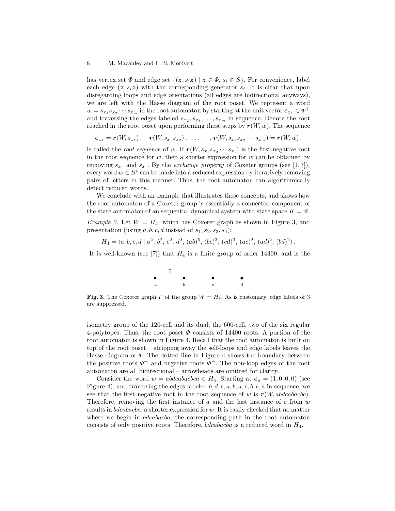#### 8 M. Macauley and H. S. Mortveit

has vertex set  $\Phi$  and edge set  $\{(z, s_i z) | z \in \Phi, s_i \in S\}$ . For convenience, label each edge  $(z, s_i z)$  with the corresponding generator  $s_i$ . It is clear that upon disregarding loops and edge orientations (all edges are bidirectional anyways), we are left with the Hasse diagram of the root poset. We represent a word  $w = s_{x_1} s_{x_2} \cdots s_{x_m}$  in the root automaton by starting at the unit vector  $e_{x_1} \in \Phi^+$ and traversing the edges labeled  $s_{x_2}, s_{x_3}, \ldots, s_{x_m}$  in sequence. Denote the root reached in the root poset upon performing these steps by  $r(W, w)$ . The sequence

$$
e_{x_1} = r(W, s_{x_1}), \quad r(W, s_{x_1} s_{x_2}), \quad \ldots \quad , \quad r(W, s_{x_1} s_{x_2} \cdots s_{x_m}) = r(W, w),
$$

is called the *root sequence* of w. If  $r(W, s_{x_1} s_{x_2} \cdots s_{x_i})$  is the first negative root in the root sequence for  $w$ , then a shorter expression for  $w$  can be obtained by removing  $s_{x_1}$  and  $s_{x_i}$ . By the *exchange property* of Coxeter groups (see [1,7]), every word  $w \in S^*$  can be made into a reduced expression by iteratively removing pairs of letters in this manner. Thus, the root automaton can algorithmically detect reduced words.

We conclude with an example that illustrates these concepts, and shows how the root automaton of a Coxeter group is essentially a connected component of the state automaton of an sequential dynamical system with state space  $K = \mathbb{R}$ .

*Example 2.* Let  $W = H_4$ , which has Coxeter graph as shown in Figure 3, and presentation (using  $a, b, c, d$  instead of  $s_1, s_2, s_3, s_4$ ):

 $H_4 = \langle a, b, c, d | a^2, b^2, c^2, d^2, (ab)^5, (bc)^3, (cd)^3, (ac)^2, (ad)^2, (bd)^2 \rangle$ .

It is well-known (see [7]) that  $H_4$  is a finite group of order 14400, and is the



Fig. 3. The Coxeter graph  $\Gamma$  of the group  $W = H_4$ . As is customary, edge labels of 3 are suppressed.

isometry group of the 120-cell and its dual, the 600-cell, two of the six regular 4-polytopes. Thus, the root poset  $\Phi$  consists of 14400 roots. A portion of the root automaton is shown in Figure 4. Recall that the root automaton is built on top of the root poset – stripping away the self-loops and edge labels leaves the Hasse diagram of  $\Phi$ . The dotted-line in Figure 4 shows the boundary between the positive roots  $\Phi^+$  and negative roots  $\overline{\Phi}^-$ . The non-loop edges of the root automaton are all bidirectional – arrowheads are omitted for clarity.

Consider the word  $w = abdcabacbca \in H_4$ . Starting at  $e_a = (1, 0, 0, 0)$  (see Figure 4), and traversing the edges labeled  $b, d, c, a, b, a, c, b, c, a$  in sequence, we see that the first negative root in the root sequence of w is  $r(W, abdcabacbc)$ . Therefore, removing the first instance of  $a$  and the last instance of  $c$  from  $w$ results in bdcabacba, a shorter expression for w. It is easily checked that no matter where we begin in *bdcabacba*, the corresponding path in the root automaton consists of only positive roots. Therefore,  $bdcabacba$  is a reduced word in  $H_4$ .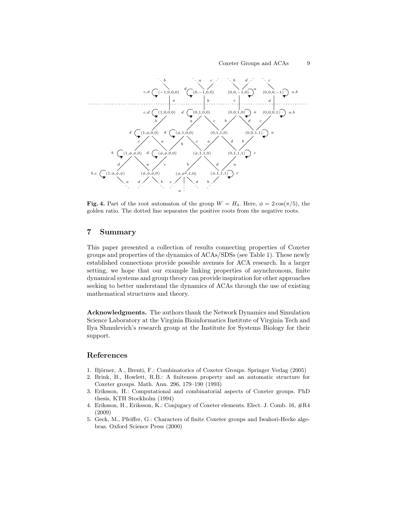

Fig. 4. Part of the root automaton of the group  $W = H_4$ . Here,  $\phi = 2\cos(\pi/5)$ , the golden ratio. The dotted line separates the positive roots from the negative roots.

#### 7 Summary

This paper presented a collection of results connecting properties of Coxeter groups and properties of the dynamics of ACAs/SDSs (see Table 1). These newly established connections provide possible avenues for ACA research. In a larger setting, we hope that our example linking properties of asynchronous, finite dynamical systems and group theory can provide inspiration for other approaches seeking to better understand the dynamics of ACAs through the use of existing mathematical structures and theory.

Acknowledgments. The authors thank the Network Dynamics and Simulation Science Laboratory at the Virginia Bioinformatics Institute of Virginia Tech and Ilya Shmulevich's research group at the Institute for Systems Biology for their support.

#### References

- 1. Björner, A., Brenti, F.: Combinatorics of Coxeter Groups. Springer Verlag (2005)
- 2. Brink, B., Howlett, R.B.: A finiteness property and an automatic structure for Coxeter groups. Math. Ann. 296, 179–190 (1993)
- 3. Eriksson, H.: Computational and combinatorial aspects of Coxeter groups. PhD thesis, KTH Stockholm (1994)
- 4. Eriksson, H., Eriksson, K.: Conjugacy of Coxeter elements. Elect. J. Comb. 16, #R4 (2009)
- 5. Geck, M., Pfeiffer, G.: Characters of finite Coxeter groups and Iwahori-Hecke algebras. Oxford Science Press (2000)